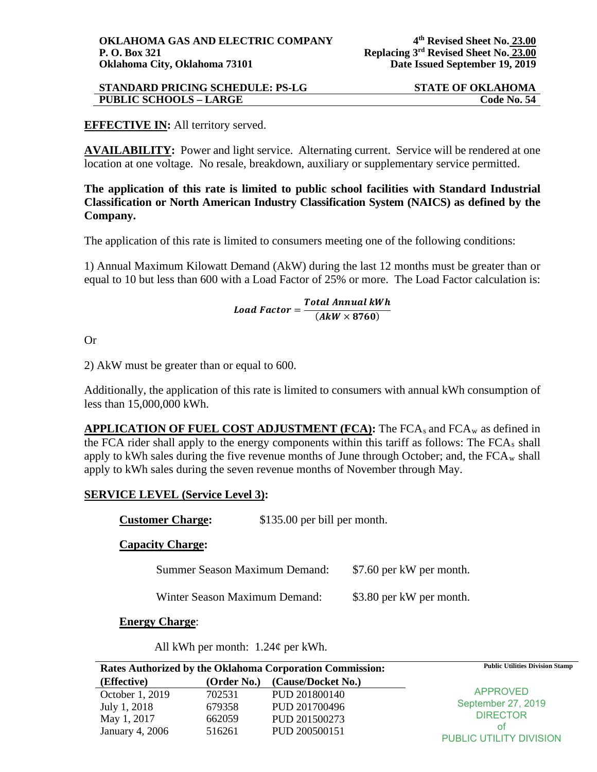| <b>STANDARD PRICING SCHEDULE: PS-LG</b> | <b>STATE OF OKLAHOMA</b> |
|-----------------------------------------|--------------------------|
| <b>PUBLIC SCHOOLS - LARGE</b>           | Code No. 54              |

# **EFFECTIVE IN:** All territory served.

**AVAILABILITY:** Power and light service. Alternating current. Service will be rendered at one location at one voltage. No resale, breakdown, auxiliary or supplementary service permitted.

**The application of this rate is limited to public school facilities with Standard Industrial Classification or North American Industry Classification System (NAICS) as defined by the Company.** 

The application of this rate is limited to consumers meeting one of the following conditions:

1) Annual Maximum Kilowatt Demand (AkW) during the last 12 months must be greater than or equal to 10 but less than 600 with a Load Factor of 25% or more. The Load Factor calculation is:

 $\small \textit{Load Factor} = \frac{\textit{Total Annual KWh}}{(\textit{A}\textit{kW} \times 8760)}$ 

Or

2) AkW must be greater than or equal to 600.

Additionally, the application of this rate is limited to consumers with annual kWh consumption of less than 15,000,000 kWh.

**APPLICATION OF FUEL COST ADJUSTMENT (FCA):** The FCA<sub>s</sub> and FCA<sub>w</sub> as defined in the FCA rider shall apply to the energy components within this tariff as follows: The FCAs shall apply to kWh sales during the five revenue months of June through October; and, the  $FCA_w$  shall apply to kWh sales during the seven revenue months of November through May.

# **SERVICE LEVEL (Service Level 3):**

| <b>Customer Charge:</b>              | \$135.00 per bill per month. |                          |
|--------------------------------------|------------------------------|--------------------------|
| <b>Capacity Charge:</b>              |                              |                          |
| <b>Summer Season Maximum Demand:</b> |                              | \$7.60 per kW per month. |
| Winter Season Maximum Demand:        |                              | \$3.80 per kW per month. |
|                                      |                              |                          |

**Energy Charge**:

All kWh per month: 1.24¢ per kWh.

| Rates Authorized by the Oklahoma Corporation Commission: |             | <b>Public Utilities Division Stamp</b> |                               |
|----------------------------------------------------------|-------------|----------------------------------------|-------------------------------|
| (Effective)                                              | (Order No.) | (Cause/Docket No.)                     |                               |
| October 1, 2019                                          | 702531      | PUD 201800140                          | <b>APPROVED</b>               |
| July 1, 2018                                             | 679358      | PUD 201700496                          | September 27, 2019            |
| May 1, 2017                                              | 662059      | PUD 201500273                          | <b>DIRECTOR</b>               |
| January 4, 2006                                          | 516261      | PUD 200500151                          | Ωt<br>PUBLIC UTILITY DIVISION |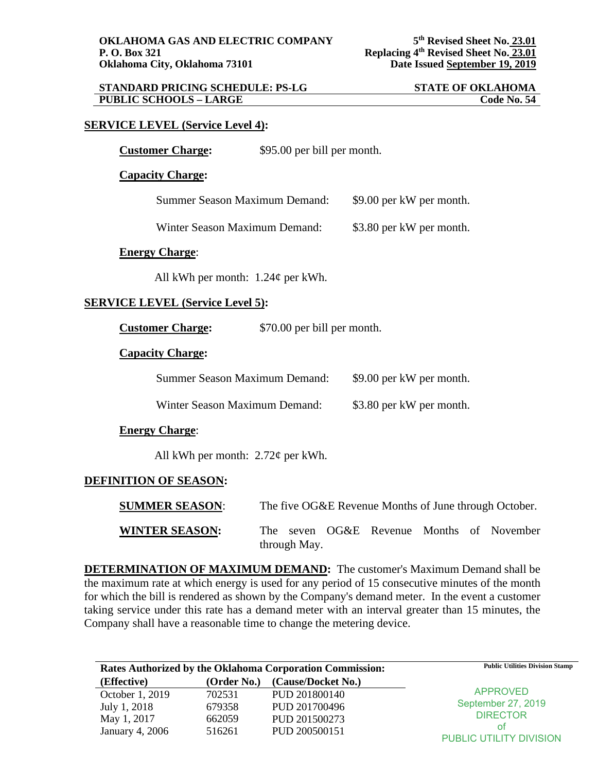| <b>STANDARD PRICING SCHEDULE: PS-LG</b> | <b>STATE OF OKLAHOMA</b> |
|-----------------------------------------|--------------------------|
| <b>PUBLIC SCHOOLS - LARGE</b>           | <b>Code No. 54</b>       |

## **SERVICE LEVEL (Service Level 4):**

| <b>Customer Charge:</b> | \$95.00 per bill per month. |
|-------------------------|-----------------------------|
|-------------------------|-----------------------------|

#### **Capacity Charge:**

Winter Season Maximum Demand: \$3.80 per kW per month.

### **Energy Charge**:

All kWh per month:  $1.24\phi$  per kWh.

## **SERVICE LEVEL (Service Level 5):**

**Customer Charge:** \$70.00 per bill per month.

#### **Capacity Charge:**

| Summer Season Maximum Demand: | \$9.00 per kW per month. |
|-------------------------------|--------------------------|
| Winter Season Maximum Demand: | \$3.80 per kW per month. |

## **Energy Charge**:

All kWh per month: 2.72¢ per kWh.

#### **DEFINITION OF SEASON:**

| <b>SUMMER SEASON:</b> | The five OG&E Revenue Months of June through October.     |
|-----------------------|-----------------------------------------------------------|
| <b>WINTER SEASON:</b> | The seven OG&E Revenue Months of November<br>through May. |

**DETERMINATION OF MAXIMUM DEMAND:** The customer's Maximum Demand shall be the maximum rate at which energy is used for any period of 15 consecutive minutes of the month for which the bill is rendered as shown by the Company's demand meter. In the event a customer taking service under this rate has a demand meter with an interval greater than 15 minutes, the Company shall have a reasonable time to change the metering device.

| Rates Authorized by the Oklahoma Corporation Commission: |             | <b>Public Utilities Division Stamp</b> |                         |
|----------------------------------------------------------|-------------|----------------------------------------|-------------------------|
| (Effective)                                              | (Order No.) | (Cause/Docket No.)                     |                         |
| October 1, 2019                                          | 702531      | PUD 201800140                          | <b>APPROVED</b>         |
| July 1, 2018                                             | 679358      | PUD 201700496                          | September 27, 2019      |
| May 1, 2017                                              | 662059      | PUD 201500273                          | <b>DIRECTOR</b>         |
| January 4, 2006                                          | 516261      | PUD 200500151                          | οt                      |
|                                                          |             |                                        | PUBLIC UTILITY DIVISION |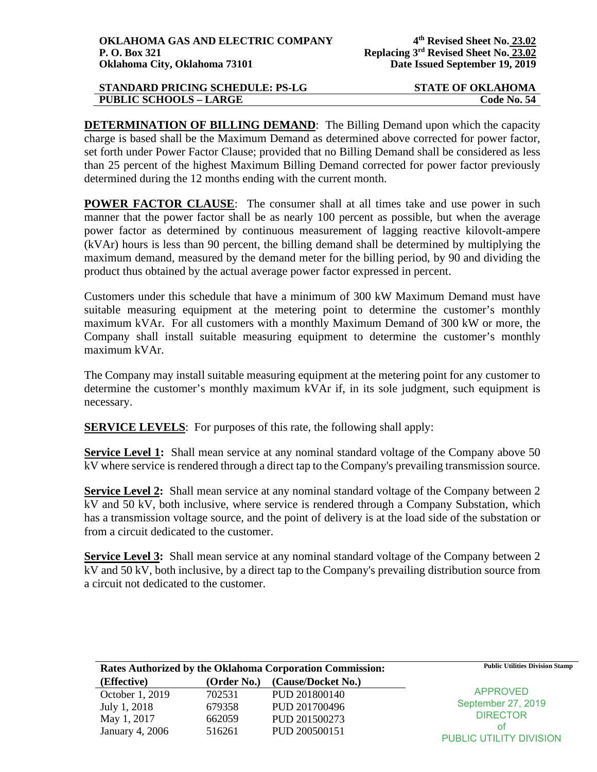| <b>STANDARD PRICING SCHEDULE: PS-LG</b> | <b>STATE OF OKLAHOMA</b> |
|-----------------------------------------|--------------------------|
| <b>PUBLIC SCHOOLS - LARGE</b>           | <b>Code No. 54</b>       |

**DETERMINATION OF BILLING DEMAND:** The Billing Demand upon which the capacity charge is based shall be the Maximum Demand as determined above corrected for power factor, set forth under Power Factor Clause; provided that no Billing Demand shall be considered as less than 25 percent of the highest Maximum Billing Demand corrected for power factor previously determined during the 12 months ending with the current month.

**POWER FACTOR CLAUSE:** The consumer shall at all times take and use power in such manner that the power factor shall be as nearly 100 percent as possible, but when the average power factor as determined by continuous measurement of lagging reactive kilovolt-ampere (kVAr) hours is less than 90 percent, the billing demand shall be determined by multiplying the maximum demand, measured by the demand meter for the billing period, by 90 and dividing the product thus obtained by the actual average power factor expressed in percent.

Customers under this schedule that have a minimum of 300 kW Maximum Demand must have suitable measuring equipment at the metering point to determine the customer's monthly maximum kVAr. For all customers with a monthly Maximum Demand of 300 kW or more, the Company shall install suitable measuring equipment to determine the customer's monthly maximum kVAr.

The Company may install suitable measuring equipment at the metering point for any customer to determine the customer's monthly maximum kVAr if, in its sole judgment, such equipment is necessary.

**SERVICE LEVELS:** For purposes of this rate, the following shall apply:

**Service Level 1:** Shall mean service at any nominal standard voltage of the Company above 50 kV where service is rendered through a direct tap to the Company's prevailing transmission source.

**Service Level 2:** Shall mean service at any nominal standard voltage of the Company between 2 kV and 50 kV, both inclusive, where service is rendered through a Company Substation, which has a transmission voltage source, and the point of delivery is at the load side of the substation or from a circuit dedicated to the customer.

**Service Level 3:** Shall mean service at any nominal standard voltage of the Company between 2 kV and 50 kV, both inclusive, by a direct tap to the Company's prevailing distribution source from a circuit not dedicated to the customer.

| <b>Rates Authorized by the Oklahoma Corporation Commission:</b> |             | <b>Public Utilities Division Stamp</b> |                         |
|-----------------------------------------------------------------|-------------|----------------------------------------|-------------------------|
| (Effective)                                                     | (Order No.) | (Cause/Docket No.)                     |                         |
| October 1, 2019                                                 | 702531      | PUD 201800140                          | <b>APPROVED</b>         |
| July 1, 2018                                                    | 679358      | PUD 201700496                          | September 27, 2019      |
| May 1, 2017                                                     | 662059      | PUD 201500273                          | <b>DIRECTOR</b>         |
| January 4, 2006                                                 | 516261      | PUD 200500151                          | οt                      |
|                                                                 |             |                                        | PUBLIC UTILITY DIVISION |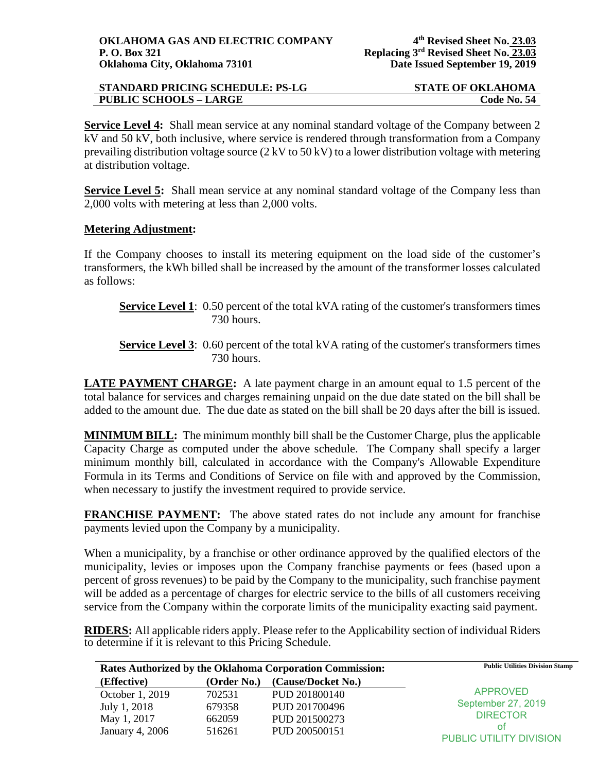| <b>STANDARD PRICING SCHEDULE: PS-LG</b> | <b>STATE OF OKLAHOMA</b> |
|-----------------------------------------|--------------------------|
| <b>PUBLIC SCHOOLS - LARGE</b>           | Code No. 54              |

**Service Level 4:** Shall mean service at any nominal standard voltage of the Company between 2 kV and 50 kV, both inclusive, where service is rendered through transformation from a Company prevailing distribution voltage source (2 kV to 50 kV) to a lower distribution voltage with metering at distribution voltage.

**Service Level 5:** Shall mean service at any nominal standard voltage of the Company less than 2,000 volts with metering at less than 2,000 volts.

# **Metering Adjustment:**

If the Company chooses to install its metering equipment on the load side of the customer's transformers, the kWh billed shall be increased by the amount of the transformer losses calculated as follows:

- **Service Level 1**: 0.50 percent of the total kVA rating of the customer's transformers times 730 hours.
- **Service Level 3:** 0.60 percent of the total kVA rating of the customer's transformers times 730 hours.

**LATE PAYMENT CHARGE:** A late payment charge in an amount equal to 1.5 percent of the total balance for services and charges remaining unpaid on the due date stated on the bill shall be added to the amount due. The due date as stated on the bill shall be 20 days after the bill is issued.

**MINIMUM BILL:** The minimum monthly bill shall be the Customer Charge, plus the applicable Capacity Charge as computed under the above schedule. The Company shall specify a larger minimum monthly bill, calculated in accordance with the Company's Allowable Expenditure Formula in its Terms and Conditions of Service on file with and approved by the Commission, when necessary to justify the investment required to provide service.

**FRANCHISE PAYMENT:** The above stated rates do not include any amount for franchise payments levied upon the Company by a municipality.

When a municipality, by a franchise or other ordinance approved by the qualified electors of the municipality, levies or imposes upon the Company franchise payments or fees (based upon a percent of gross revenues) to be paid by the Company to the municipality, such franchise payment will be added as a percentage of charges for electric service to the bills of all customers receiving service from the Company within the corporate limits of the municipality exacting said payment.

**RIDERS:** All applicable riders apply. Please refer to the Applicability section of individual Riders to determine if it is relevant to this Pricing Schedule.

| Rates Authorized by the Oklahoma Corporation Commission: |             | <b>Public Utilities Division Stamp</b> |                               |
|----------------------------------------------------------|-------------|----------------------------------------|-------------------------------|
| (Effective)                                              | (Order No.) | (Cause/Docket No.)                     |                               |
| October 1, 2019                                          | 702531      | PUD 201800140                          | <b>APPROVED</b>               |
| July 1, 2018                                             | 679358      | PUD 201700496                          | September 27, 2019            |
| May 1, 2017                                              | 662059      | PUD 201500273                          | <b>DIRECTOR</b>               |
| January 4, 2006                                          | 516261      | PUD 200500151                          | Ωt<br>PUBLIC UTILITY DIVISION |